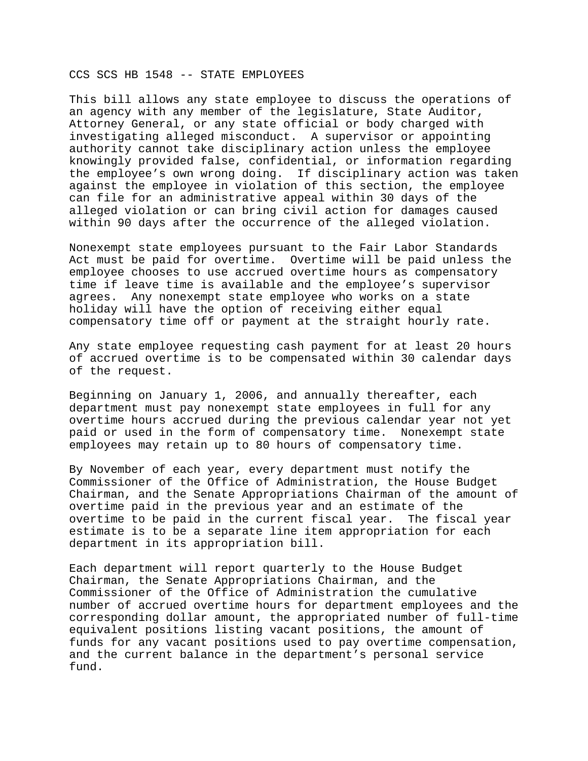## CCS SCS HB 1548 -- STATE EMPLOYEES

This bill allows any state employee to discuss the operations of an agency with any member of the legislature, State Auditor, Attorney General, or any state official or body charged with investigating alleged misconduct. A supervisor or appointing authority cannot take disciplinary action unless the employee knowingly provided false, confidential, or information regarding the employee's own wrong doing. If disciplinary action was taken against the employee in violation of this section, the employee can file for an administrative appeal within 30 days of the alleged violation or can bring civil action for damages caused within 90 days after the occurrence of the alleged violation.

Nonexempt state employees pursuant to the Fair Labor Standards Act must be paid for overtime. Overtime will be paid unless the employee chooses to use accrued overtime hours as compensatory time if leave time is available and the employee's supervisor agrees. Any nonexempt state employee who works on a state holiday will have the option of receiving either equal compensatory time off or payment at the straight hourly rate.

Any state employee requesting cash payment for at least 20 hours of accrued overtime is to be compensated within 30 calendar days of the request.

Beginning on January 1, 2006, and annually thereafter, each department must pay nonexempt state employees in full for any overtime hours accrued during the previous calendar year not yet paid or used in the form of compensatory time. Nonexempt state employees may retain up to 80 hours of compensatory time.

By November of each year, every department must notify the Commissioner of the Office of Administration, the House Budget Chairman, and the Senate Appropriations Chairman of the amount of overtime paid in the previous year and an estimate of the overtime to be paid in the current fiscal year. The fiscal year estimate is to be a separate line item appropriation for each department in its appropriation bill.

Each department will report quarterly to the House Budget Chairman, the Senate Appropriations Chairman, and the Commissioner of the Office of Administration the cumulative number of accrued overtime hours for department employees and the corresponding dollar amount, the appropriated number of full-time equivalent positions listing vacant positions, the amount of funds for any vacant positions used to pay overtime compensation, and the current balance in the department's personal service fund.